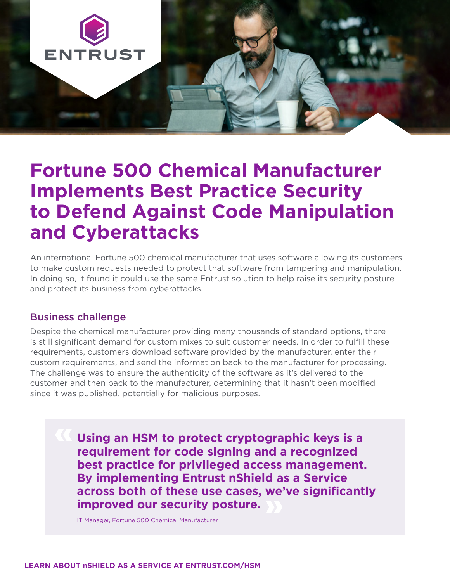

# **Fortune 500 Chemical Manufacturer Implements Best Practice Security to Defend Against Code Manipulation and Cyberattacks**

An international Fortune 500 chemical manufacturer that uses software allowing its customers to make custom requests needed to protect that software from tampering and manipulation. In doing so, it found it could use the same Entrust solution to help raise its security posture and protect its business from cyberattacks.

### Business challenge

Despite the chemical manufacturer providing many thousands of standard options, there is still significant demand for custom mixes to suit customer needs. In order to fulfill these requirements, customers download software provided by the manufacturer, enter their custom requirements, and send the information back to the manufacturer for processing. The challenge was to ensure the authenticity of the software as it's delivered to the customer and then back to the manufacturer, determining that it hasn't been modified since it was published, potentially for malicious purposes.

> **Using an HSM to protect cryptographic keys is a requirement for code signing and a recognized best practice for privileged access management. By implementing Entrust nShield as a Service across both of these use cases, we've significantly improved our security posture.**

IT Manager, Fortune 500 Chemical Manufacturer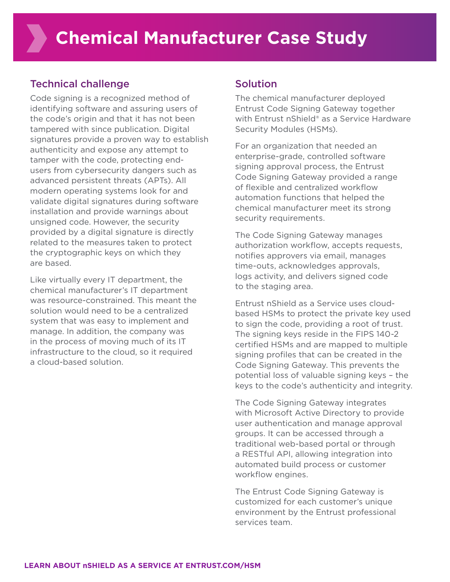# Technical challenge

Code signing is a recognized method of identifying software and assuring users of the code's origin and that it has not been tampered with since publication. Digital signatures provide a proven way to establish authenticity and expose any attempt to tamper with the code, protecting endusers from cybersecurity dangers such as advanced persistent threats (APTs). All modern operating systems look for and validate digital signatures during software installation and provide warnings about unsigned code. However, the security provided by a digital signature is directly related to the measures taken to protect the cryptographic keys on which they are based.

Like virtually every IT department, the chemical manufacturer's IT department was resource-constrained. This meant the solution would need to be a centralized system that was easy to implement and manage. In addition, the company was in the process of moving much of its IT infrastructure to the cloud, so it required a cloud-based solution.

# Solution

The chemical manufacturer deployed Entrust Code Signing Gateway together with Entrust nShield® as a Service Hardware Security Modules (HSMs).

For an organization that needed an enterprise-grade, controlled software signing approval process, the Entrust Code Signing Gateway provided a range of flexible and centralized workflow automation functions that helped the chemical manufacturer meet its strong security requirements.

The Code Signing Gateway manages authorization workflow, accepts requests, notifies approvers via email, manages time-outs, acknowledges approvals, logs activity, and delivers signed code to the staging area.

Entrust nShield as a Service uses cloudbased HSMs to protect the private key used to sign the code, providing a root of trust. The signing keys reside in the FIPS 140-2 certified HSMs and are mapped to multiple signing profiles that can be created in the Code Signing Gateway. This prevents the potential loss of valuable signing keys – the keys to the code's authenticity and integrity.

The Code Signing Gateway integrates with Microsoft Active Directory to provide user authentication and manage approval groups. It can be accessed through a traditional web-based portal or through a RESTful API, allowing integration into automated build process or customer workflow engines.

The Entrust Code Signing Gateway is customized for each customer's unique environment by the Entrust professional services team.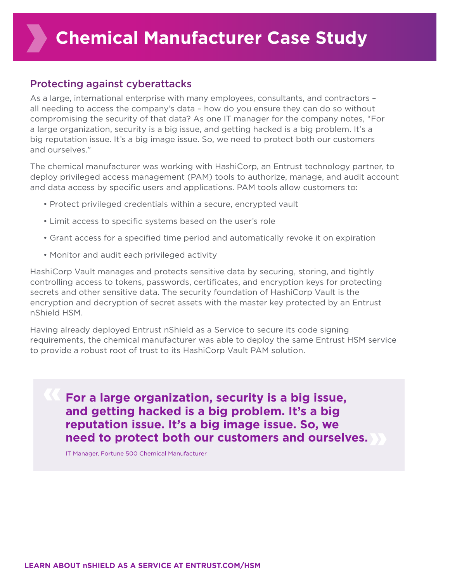# Protecting against cyberattacks

As a large, international enterprise with many employees, consultants, and contractors – all needing to access the company's data – how do you ensure they can do so without compromising the security of that data? As one IT manager for the company notes, "For a large organization, security is a big issue, and getting hacked is a big problem. It's a big reputation issue. It's a big image issue. So, we need to protect both our customers and ourselves."

The chemical manufacturer was working with HashiCorp, an Entrust technology partner, to deploy privileged access management (PAM) tools to authorize, manage, and audit account and data access by specific users and applications. PAM tools allow customers to:

- Protect privileged credentials within a secure, encrypted vault
- Limit access to specific systems based on the user's role
- Grant access for a specified time period and automatically revoke it on expiration
- Monitor and audit each privileged activity

HashiCorp Vault manages and protects sensitive data by securing, storing, and tightly controlling access to tokens, passwords, certificates, and encryption keys for protecting secrets and other sensitive data. The security foundation of HashiCorp Vault is the encryption and decryption of secret assets with the master key protected by an Entrust nShield HSM.

Having already deployed Entrust nShield as a Service to secure its code signing requirements, the chemical manufacturer was able to deploy the same Entrust HSM service to provide a robust root of trust to its HashiCorp Vault PAM solution.

**For a large organization, security is a big issue, and getting hacked is a big problem. It's a big reputation issue. It's a big image issue. So, we need to protect both our customers and ourselves.**

IT Manager, Fortune 500 Chemical Manufacturer